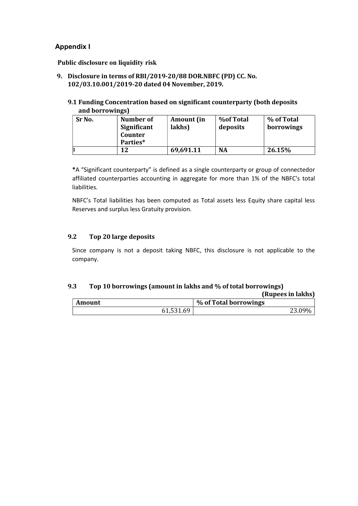# Appendix I

Public disclosure on liquidity risk

9. Disclosure in terms of RBI/2019-20/88 DOR.NBFC (PD) CC. No. 102/03.10.001/2019-20 dated 04 November, 2019.

### 9.1 Funding Concentration based on significant counterparty (both deposits and borrowings)

| Sr No. | Number of<br>Significant<br>Counter<br>Parties* | Amount (in<br>lakhs) | <b>%of Total</b><br>deposits | % of Total<br>borrowings |
|--------|-------------------------------------------------|----------------------|------------------------------|--------------------------|
|        | 12                                              | 69,691.11            | <b>NA</b>                    | 26.15%                   |

\*A "Significant counterparty" is defined as a single counterparty or group of connected or affiliated counterparties accounting in aggregate for more than 1% of the NBFC's total liabilities.

NBFC's Total liabilities has been computed as Total assets less Equity share capital less Reserves and surplus less Gratuity provision.

## 9.2 Top 20 large deposits

Since company is not a deposit taking NBFC, this disclosure is not applicable to the company.

### 9.3 Top 10 borrowings (amount in lakhs and % of total borrowings)

|        | (Rupees in lakhs) |                       |  |  |
|--------|-------------------|-----------------------|--|--|
| Amount |                   | % of Total borrowings |  |  |
|        | 61,531.69         | 23.09%                |  |  |